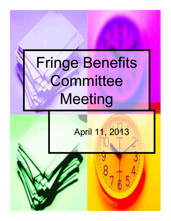## Fringe Benefits **Committee** Meeting

# April 11, 2013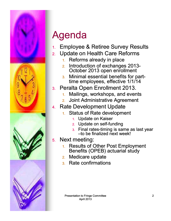

### Agenda

- 1. Employee & Retiree Survey Results
- 2. Update on Health Care Reforms
	- 1. Reforms already in place
	- 2. Introduction of exchanges 2013-October 2013 open enrollment
	- 3. Minimal essential benefits for parttime employees, effective 1/1/14
- 3. Peralta Open Enrollment 2013.
	- 1. Mailings, workshops, and events
	- 2. Joint Administrative Agreement
- 4. Rate Development Update
	- Status of Rate development 1.
		- 1. Update on Kaiser
		- 2. Update on self-funding
		- $3.$  Final rates-timing is same as last year  $-$ to be finalized next week!
- 5. Next meeting:
	- 1. Results of Other Post Employment Benefits (OPEB) actuarial study
	- 2. Medicare update
	- 3. Rate confirmations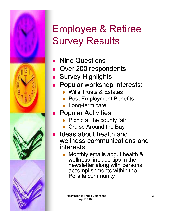

Ē

#### Employee & Retiree Survey Results

- **Nine Questions**
- Over 200 respondents
	- Survey Highlights
- Popular workshop interests:
	- $\bullet$ Wills Trusts & Estates
	- $\bullet$ Post Employment Benefits
	- Long-term care
	- Popular Activities
		- $\bullet$ Picnic at the county fair
		- $\bullet$ Cruise Around the Bay
- Ideas about health and wellness communications and interests:
	- $\bullet$  Monthly emails about health & wellness; include tips in the newsletter along with personal accomplishments within the Peralta community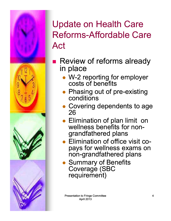

- Review of reforms already in place
	- W-2 reporting for employer costs of benefits
	- Phasing out of pre-existing conditions
	- Covering dependents to age 26
	- Elimination of plan limit on wellness benefits for nongrandfathered plans
	- Elimination of office visit copays for wellness exams on non-grandfathered plans
	- **Summary of Benefits** Coverage (SBC requirement)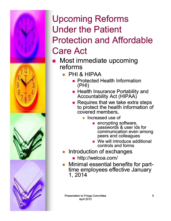

- **Most immediate upcoming** reforms
	- PHI & HIPAA
		- **Protected Health Information** (PHI)
		- **Health Insurance Portability and** Accountability Act (HIPAA)
		- $\blacksquare$  Requires that we take extra steps to protect the health information of covered members,
			- Increased use of
				- **encrypting software,** passwords & user ids for communication even among peers and colleagues
				- **Ne will introduce additional** controls and forms
	- **•** Introduction of exchanges
		- http://welcoa.com/
	- $\bullet$ Minimal essential benefits for parttime employees effective January 1, 2014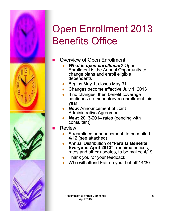

#### Open Enrollment 2013 Benefits Office

- Overview of Open Enrollment
	- $\bullet$  *What is open enrollment?* Open Enrollment is the Annual Opportunity to change plans and enroll eligible dependents
	- $\bullet$ Begins May 1, closes May 31
	- $\bullet$ Changes become effective July 1, 2013
	- $\bullet$  If no changes, then benefit coverage continues-no mandatory re-enrollment this year
	- $\bullet$  *New*: Announcement of Joint Administrative Agreement
	- $\bullet$ *New:* 2013-2014 rates (pending with consultant)
- Review
	- $\bullet$  Streamlined announcement, to be mailed 4/12 (see attached)
	- $\bullet$  Annual Distribution of "**Peralta Benefits Everyone April 2013"**, required notices, rates and other updates, to be mailed 4/19
	- $\bullet$ Thank you for your feedback
	- $\bullet$ Who will attend Fair on your behalf? 4/30